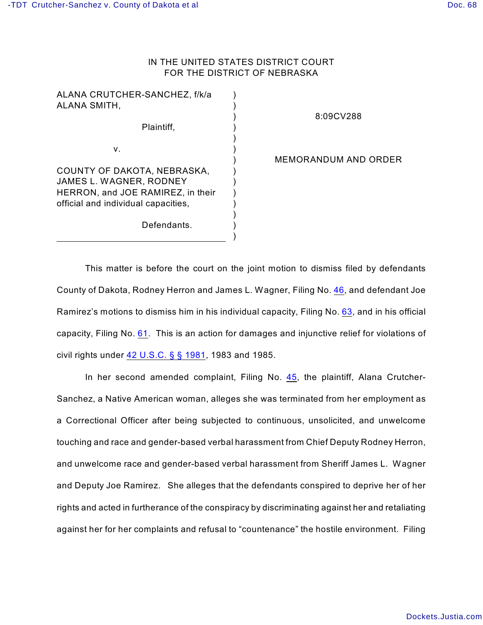## IN THE UNITED STATES DISTRICT COURT FOR THE DISTRICT OF NEBRASKA

| ALANA CRUTCHER-SANCHEZ, f/k/a<br>ALANA SMITH,                                                                                      |  |
|------------------------------------------------------------------------------------------------------------------------------------|--|
| Plaintiff,                                                                                                                         |  |
| v.                                                                                                                                 |  |
| COUNTY OF DAKOTA, NEBRASKA,<br>JAMES L. WAGNER, RODNEY<br>HERRON, and JOE RAMIREZ, in their<br>official and individual capacities, |  |
| Defendants.                                                                                                                        |  |
|                                                                                                                                    |  |

## 8:09CV288

MEMORANDUM AND ORDER

This matter is before the court on the joint motion to dismiss filed by defendants County of Dakota, Rodney Herron and James L. Wagner, Filing No. [46](http://ecf.ned.uscourts.gov/doc1/11301970905), and defendant Joe Ramirez's motions to dismiss him in his individual capacity, Filing No. [63](http://ecf.ned.uscourts.gov/doc1/11302038885), and in his official capacity, Filing No. [61](http://ecf.ned.uscourts.gov/doc1/11302038593). This is an action for damages and injunctive relief for violations of civil rights under [42 U.S.C. § § 1981](http://www.westlaw.com/find/default.wl?rs=CLWP3.0&vr=2.0&cite=42+USCA+s+s+1981), 1983 and 1985.

In her second amended complaint, Filing No. [45](http://ecf.ned.uscourts.gov/doc1/11301963369), the plaintiff, Alana Crutcher-Sanchez, a Native American woman, alleges she was terminated from her employment as a Correctional Officer after being subjected to continuous, unsolicited, and unwelcome touching and race and gender-based verbal harassment from Chief Deputy Rodney Herron, and unwelcome race and gender-based verbal harassment from Sheriff James L. Wagner and Deputy Joe Ramirez. She alleges that the defendants conspired to deprive her of her rights and acted in furtherance of the conspiracy by discriminating against her and retaliating against her for her complaints and refusal to "countenance" the hostile environment. Filing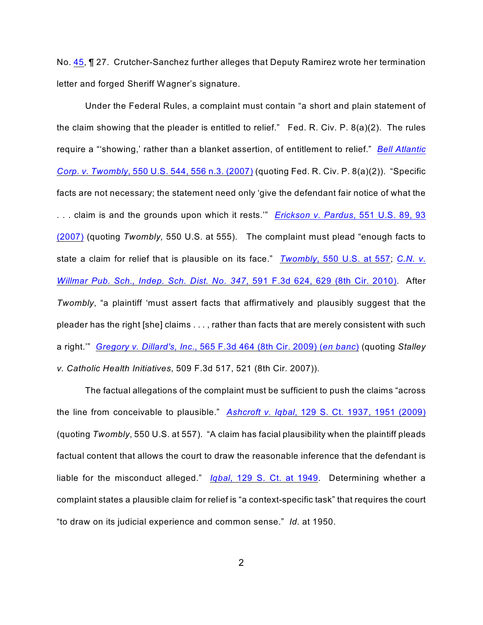No. [45](http://ecf.ned.uscourts.gov/doc1/11301963369), ¶ 27. Crutcher-Sanchez further alleges that Deputy Ramirez wrote her termination letter and forged Sheriff Wagner's signature.

Under the Federal Rules, a complaint must contain "a short and plain statement of the claim showing that the pleader is entitled to relief." Fed. R. Civ. P. 8(a)(2). The rules require a "'showing,' rather than a blanket assertion, of entitlement to relief." *[Bell Atlantic](http://www.westlaw.com/find/default.wl?rs=CLWP3.0&vr=2.0&cite=550+U.S.+544) Corp. v. Twombly*[, 550 U.S. 544, 556 n.3. \(2007\)](http://www.westlaw.com/find/default.wl?rs=CLWP3.0&vr=2.0&cite=550+U.S.+544) (quoting Fed. R. Civ. P. 8(a)(2)). "Specific facts are not necessary; the statement need only 'give the defendant fair notice of what the . . . claim is and the grounds upon which it rests.'" *[Erickson v. Pardus](http://www.westlaw.com/find/default.wl?rs=CLWP3.0&vr=2.0&cite=551+U.S.+89)*, 551 U.S. 89, 93 [\(2007\)](http://www.westlaw.com/find/default.wl?rs=CLWP3.0&vr=2.0&cite=551+U.S.+89) (quoting *Twombly,* 550 U.S. at 555). The complaint must plead "enough facts to state a claim for relief that is plausible on its face." *Twombly*[, 550 U.S. at 557](http://www.westlaw.com/find/default.wl?rs=CLWP3.0&vr=2.0&cite=550+U.S.+557); *[C.N. v.](http://www.westlaw.com/find/default.wl?rs=CLWP3.0&vr=2.0&cite=591+F.3d+624) Willmar Pub. Sch., Indep. Sch. Dist. No. 347*[, 591 F.3d 624, 629 \(8th Cir. 2010\)](http://www.westlaw.com/find/default.wl?rs=CLWP3.0&vr=2.0&cite=591+F.3d+624). After *Twombly*, "a plaintiff 'must assert facts that affirmatively and plausibly suggest that the pleader has the right [she] claims . . . , rather than facts that are merely consistent with such a right.'" *Gregory v. Dillard's, Inc*[., 565 F.3d 464 \(8th Cir. 2009\) \(](http://www.westlaw.com/find/default.wl?rs=CLWP3.0&vr=2.0&cite=565+F.3d+464)*en banc*) (quoting *Stalley v. Catholic Health Initiatives*, 509 F.3d 517, 521 (8th Cir. 2007)).

The factual allegations of the complaint must be sufficient to push the claims "across the line from conceivable to plausible." *Ashcroft v. Iqbal*[, 129 S. Ct. 1937, 1951 \(2009\)](http://www.westlaw.com/find/default.wl?rs=CLWP3.0&vr=2.0&cite=129+S.Ct.+1937) (quoting *Twombly*, 550 U.S. at 557). "A claim has facial plausibility when the plaintiff pleads factual content that allows the court to draw the reasonable inference that the defendant is liable for the misconduct alleged." *Iqbal*[, 129 S. Ct. at 1949](http://www.westlaw.com/find/default.wl?rs=CLWP3.0&vr=2.0&cite=129+S.Ct.+1949). Determining whether a complaint states a plausible claim for relief is "a context-specific task" that requires the court "to draw on its judicial experience and common sense." *Id.* at 1950.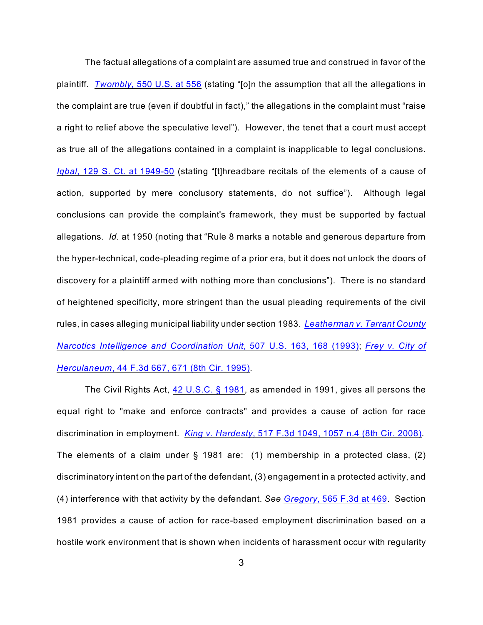The factual allegations of a complaint are assumed true and construed in favor of the plaintiff. *Twombly,* [550 U.S. at 556](http://www.westlaw.com/find/default.wl?rs=CLWP3.0&vr=2.0&cite=550+U.S.+556) (stating "[o]n the assumption that all the allegations in the complaint are true (even if doubtful in fact)," the allegations in the complaint must "raise a right to relief above the speculative level"). However, the tenet that a court must accept as true all of the allegations contained in a complaint is inapplicable to legal conclusions. *Iqbal*[, 129 S. Ct. at 1949-50](http://www.westlaw.com/find/default.wl?rs=CLWP3.0&vr=2.0&cite=129+S.Ct.+1949) (stating "[t]hreadbare recitals of the elements of a cause of action, supported by mere conclusory statements, do not suffice"). Although legal conclusions can provide the complaint's framework, they must be supported by factual allegations. *Id.* at 1950 (noting that "Rule 8 marks a notable and generous departure from the hyper-technical, code-pleading regime of a prior era, but it does not unlock the doors of discovery for a plaintiff armed with nothing more than conclusions"). There is no standard of heightened specificity, more stringent than the usual pleading requirements of the civil rules, in cases alleging municipal liability under section 1983. *[Leatherman v. Tarrant County](http://www.westlaw.com/find/default.wl?rs=CLWP3.0&vr=2.0&cite=507+U.S.+163) [Narcotics Intelligence and Coordination Unit](http://www.westlaw.com/find/default.wl?rs=CLWP3.0&vr=2.0&cite=507+U.S.+163)*, 507 U.S. 163, 168 (1993); *[Frey v. City of](http://www.westlaw.com/find/default.wl?rs=CLWP3.0&vr=2.0&cite=44+F.3d+667) Herculaneum*[, 44 F.3d 667, 671 \(8th Cir. 1995\)](http://www.westlaw.com/find/default.wl?rs=CLWP3.0&vr=2.0&cite=44+F.3d+667).

The Civil Rights Act, [42 U.S.C. § 1981](http://www.westlaw.com/find/default.wl?rs=CLWP3.0&vr=2.0&cite=42+USCA+s+1981), as amended in 1991, gives all persons the equal right to "make and enforce contracts" and provides a cause of action for race discrimination in employment. *King v. Hardesty*[, 517 F.3d 1049, 1057 n.4 \(8th Cir. 2008\)](http://www.westlaw.com/find/default.wl?rs=CLWP3.0&vr=2.0&cite=517+F.3d+1049). The elements of a claim under § 1981 are: (1) membership in a protected class, (2) discriminatory intent on the part of the defendant, (3) engagement in a protected activity, and (4) interference with that activity by the defendant. *See Gregory*[, 565 F.3d at 469](http://www.westlaw.com/find/default.wl?rs=CLWP3.0&vr=2.0&cite=565+F.3d+469). Section 1981 provides a cause of action for race-based employment discrimination based on a hostile work environment that is shown when incidents of harassment occur with regularity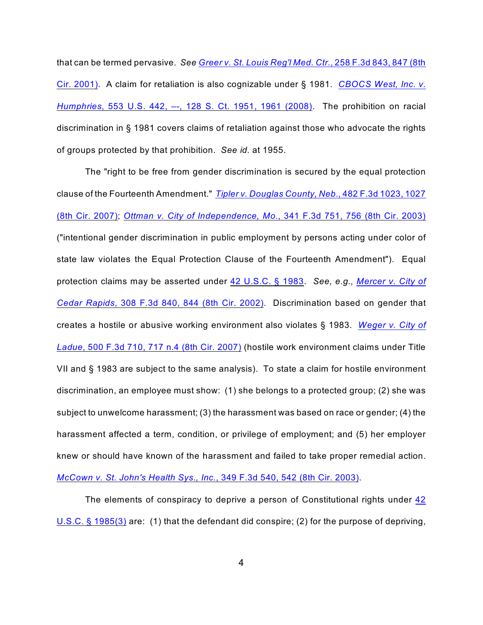that can be termed pervasive. *See [Greer v. St. Louis Reg'l Med. Ctr.](http://www.westlaw.com/find/default.wl?rs=CLWP3.0&vr=2.0&cite=258+F.3d+843)*, 258 F.3d 843, 847 (8th [Cir. 2001\)](http://www.westlaw.com/find/default.wl?rs=CLWP3.0&vr=2.0&cite=258+F.3d+843). A claim for retaliation is also cognizable under § 1981. *[CBOCS West, Inc. v.](http://www.westlaw.com/find/default.wl?rs=CLWP3.0&vr=2.0&cite=553+U.S.+442) Humphries*[, 553 U.S. 442, –-, 128 S. Ct. 1951, 1961 \(2008\)](http://www.westlaw.com/find/default.wl?rs=CLWP3.0&vr=2.0&cite=553+U.S.+442). The prohibition on racial discrimination in § 1981 covers claims of retaliation against those who advocate the rights of groups protected by that prohibition. *See id.* at 1955.

The "right to be free from gender discrimination is secured by the equal protection clause of the Fourteenth Amendment." *[Tipler v. Douglas County, Neb.](http://www.westlaw.com/find/default.wl?rs=CLWP3.0&vr=2.0&cite=482+F.3d+1023)*, 482 F.3d 1023, 1027 [\(8th Cir. 2007\)](http://www.westlaw.com/find/default.wl?rs=CLWP3.0&vr=2.0&cite=482+F.3d+1023); *[Ottman v. City of Independence, Mo.](http://www.westlaw.com/find/default.wl?rs=CLWP3.0&vr=2.0&cite=341+F.3d+751)*, 341 F.3d 751, 756 (8th Cir. 2003) ("intentional gender discrimination in public employment by persons acting under color of state law violates the Equal Protection Clause of the Fourteenth Amendment"). Equal protection claims may be asserted under 42 U.S.C. [§ 1983](http://www.westlaw.com/find/default.wl?rs=CLWP3.0&vr=2.0&cite=42+USCA+s+1983). *See, e.g., [Mercer v. City of](http://www.westlaw.com/find/default.wl?rs=CLWP3.0&vr=2.0&cite=308+F.3d+840) Cedar Rapids*[, 308 F.3d 840, 844 \(8th Cir. 2002\)](http://www.westlaw.com/find/default.wl?rs=CLWP3.0&vr=2.0&cite=308+F.3d+840). Discrimination based on gender that creates a hostile or abusive working environment also violates § 1983. *[Weger v. City of](http://www.westlaw.com/find/default.wl?rs=CLWP3.0&vr=2.0&cite=500+F.3d+710) Ladue*[, 500 F.3d 710, 717 n.4 \(8th Cir. 2007\)](http://www.westlaw.com/find/default.wl?rs=CLWP3.0&vr=2.0&cite=500+F.3d+710) (hostile work environment claims under Title VII and § 1983 are subject to the same analysis). To state a claim for hostile environment discrimination, an employee must show: (1) she belongs to a protected group; (2) she was subject to unwelcome harassment; (3) the harassment was based on race or gender; (4) the harassment affected a term, condition, or privilege of employment; and (5) her employer knew or should have known of the harassment and failed to take proper remedial action. *[McCown v. St. John's Health Sys., Inc.](http://www.westlaw.com/find/default.wl?rs=CLWP3.0&vr=2.0&cite=349+F.3d+540)*, 349 F.3d 540, 542 (8th Cir. 2003).

The elements of conspiracy to deprive a person of Constitutional rights under [42](http://www.westlaw.com/find/default.wl?rs=CLWP3.0&vr=2.0&cite=42+USCA+s+1985%283%29) [U.S.C. § 1985\(3\)](http://www.westlaw.com/find/default.wl?rs=CLWP3.0&vr=2.0&cite=42+USCA+s+1985%283%29) are: (1) that the defendant did conspire; (2) for the purpose of depriving,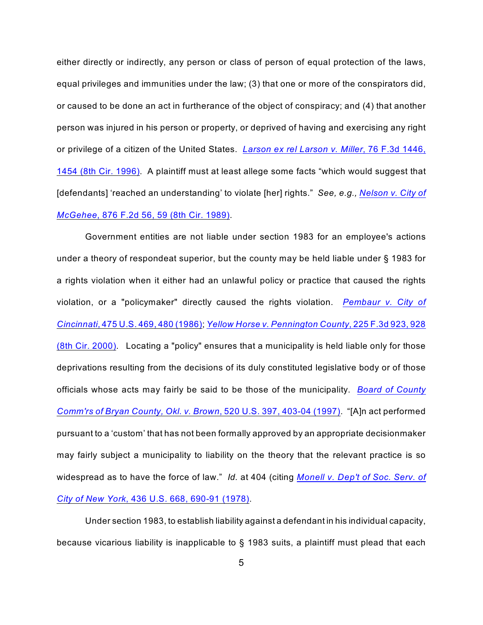either directly or indirectly, any person or class of person of equal protection of the laws, equal privileges and immunities under the law; (3) that one or more of the conspirators did, or caused to be done an act in furtherance of the object of conspiracy; and (4) that another person was injured in his person or property, or deprived of having and exercising any right or privilege of a citizen of the United States. *[Larson ex rel Larson v. Miller](http://www.westlaw.com/find/default.wl?rs=CLWP3.0&vr=2.0&cite=76+F.3d+1446)*, 76 F.3d 1446, [1454 \(8th Cir. 1996\)](http://www.westlaw.com/find/default.wl?rs=CLWP3.0&vr=2.0&cite=76+F.3d+1446). A plaintiff must at least allege some facts "which would suggest that [defendants] 'reached an understanding' to violate [her] rights." *See, e.g., [Nelson v. City of](http://www.westlaw.com/find/default.wl?rs=CLWP3.0&vr=2.0&cite=876+F.2d+56) McGehee*[, 876 F.2d 56, 59 \(8th Cir. 1989\)](http://www.westlaw.com/find/default.wl?rs=CLWP3.0&vr=2.0&cite=876+F.2d+56).

Government entities are not liable under section 1983 for an employee's actions under a theory of respondeat superior, but the county may be held liable under § 1983 for a rights violation when it either had an unlawful policy or practice that caused the rights violation, or a "policymaker" directly caused the rights violation. *[Pembaur v.](http://www.westlaw.com/find/default.wl?rs=CLWP3.0&vr=2.0&cite=475+U.S.+469) City of Cincinnati*[, 475 U.S. 469, 480 \(1986\)](http://www.westlaw.com/find/default.wl?rs=CLWP3.0&vr=2.0&cite=475+U.S.+469); *[Yellow Horse v. Pennington County](http://www.westlaw.com/find/default.wl?rs=CLWP3.0&vr=2.0&cite=225+F.3d+923)*, 225 F.3d 923, 928 [\(8th Cir. 2000\)](http://www.westlaw.com/find/default.wl?rs=CLWP3.0&vr=2.0&cite=225+F.3d+923). Locating a "policy" ensures that a municipality is held liable only for those deprivations resulting from the decisions of its duly constituted legislative body or of those officials whose acts may fairly be said to be those of the municipality. *[Board of County](http://www.westlaw.com/find/default.wl?rs=CLWP3.0&vr=2.0&cite=520+U.S.+397) Comm'rs [of Bryan County, Okl. v. Brown](http://www.westlaw.com/find/default.wl?rs=CLWP3.0&vr=2.0&cite=520+U.S.+397)*, 520 U.S. 397, 403-04 (1997). "[A]n act performed pursuant to a 'custom' that has not been formally approved by an appropriate decisionmaker may fairly subject a municipality to liability on the theory that the relevant practice is so widespread as to have the force of law." *Id.* at 404 (citing *[Monell v. Dep't of Soc. Serv. of](http://www.westlaw.com/find/default.wl?rs=CLWP3.0&vr=2.0&cite=436+U.S.+668) City of New York*[, 436 U.S. 668, 690-91 \(1978\)](http://www.westlaw.com/find/default.wl?rs=CLWP3.0&vr=2.0&cite=436+U.S.+668).

Under section 1983, to establish liability against a defendant in his individual capacity, because vicarious liability is inapplicable to § 1983 suits, a plaintiff must plead that each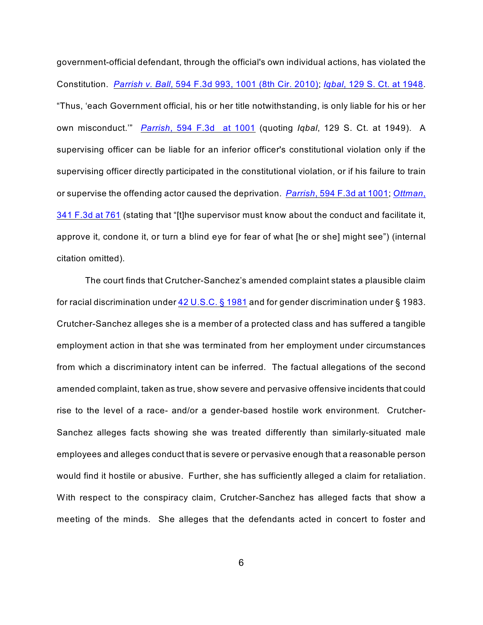government-official defendant, through the official's own individual actions, has violated the Constitution. *Parrish v. Ball*[, 594 F.3d 993, 1001 \(8th Cir. 2010\)](http://www.westlaw.com/find/default.wl?rs=CLWP3.0&vr=2.0&cite=594+F.3d+993); *Iqbal*[, 129 S. Ct. at 1948](http://www.westlaw.com/find/default.wl?rs=CLWP3.0&vr=2.0&cite=129+S.Ct.+1948). "Thus, 'each Government official, his or her title notwithstanding, is only liable for his or her own misconduct.'" *Parrish*[, 594 F.3d at 1001](http://www.westlaw.com/find/default.wl?rs=CLWP3.0&vr=2.0&cite=594+F.3d+1001) (quoting *Iqbal*, 129 S. Ct. at 1949). A supervising officer can be liable for an inferior officer's constitutional violation only if the supervising officer directly participated in the constitutional violation, or if his failure to train or supervise the offending actor caused the deprivation. *Parrish*[, 594 F.3d at 1001](http://www.westlaw.com/find/default.wl?rs=CLWP3.0&vr=2.0&cite=594+F.3d+1001); *[Ottman](http://www.westlaw.com/find/default.wl?rs=CLWP3.0&vr=2.0&cite=341+F.3d+751)*, [341 F.3d at 761](http://www.westlaw.com/find/default.wl?rs=CLWP3.0&vr=2.0&cite=341+F.3d+751) (stating that "[t]he supervisor must know about the conduct and facilitate it, approve it, condone it, or turn a blind eye for fear of what [he or she] might see") (internal citation omitted).

The court finds that Crutcher-Sanchez's amended complaint states a plausible claim for racial discrimination under [42 U.S.C. § 1981](http://www.westlaw.com/find/default.wl?rs=CLWP3.0&vr=2.0&cite=42+USCA+s+1981) and for gender discrimination under § 1983. Crutcher-Sanchez alleges she is a member of a protected class and has suffered a tangible employment action in that she was terminated from her employment under circumstances from which a discriminatory intent can be inferred. The factual allegations of the second amended complaint, taken as true, show severe and pervasive offensive incidents that could rise to the level of a race- and/or a gender-based hostile work environment. Crutcher-Sanchez alleges facts showing she was treated differently than similarly-situated male employees and alleges conduct that is severe or pervasive enough that a reasonable person would find it hostile or abusive. Further, she has sufficiently alleged a claim for retaliation. With respect to the conspiracy claim, Crutcher-Sanchez has alleged facts that show a meeting of the minds. She alleges that the defendants acted in concert to foster and